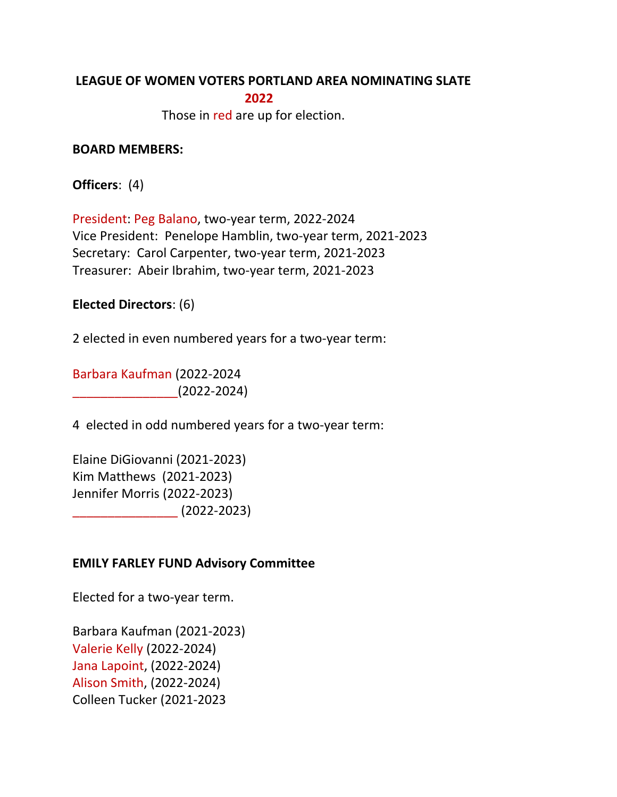#### **LEAGUE OF WOMEN VOTERS PORTLAND AREA NOMINATING SLATE 2022**

Those in red are up for election.

#### **BOARD MEMBERS:**

**Officers:** (4)

President: Peg Balano, two-year term, 2022-2024 Vice President: Penelope Hamblin, two-year term, 2021-2023 Secretary: Carol Carpenter, two-year term, 2021-2023 Treasurer: Abeir Ibrahim, two-year term, 2021-2023

## **Elected Directors:** (6)

2 elected in even numbered years for a two-year term:

Barbara Kaufman (2022-2024  $(2022-2024)$ 

4 elected in odd numbered years for a two-year term:

Elaine DiGiovanni (2021-2023) Kim Matthews (2021-2023) Jennifer Morris (2022-2023)  $(2022 - 2023)$ 

## **EMILY FARLEY FUND Advisory Committee**

Elected for a two-year term.

Barbara Kaufman (2021-2023) Valerie Kelly (2022-2024) Jana Lapoint, (2022-2024) Alison Smith, (2022-2024) Colleen Tucker (2021-2023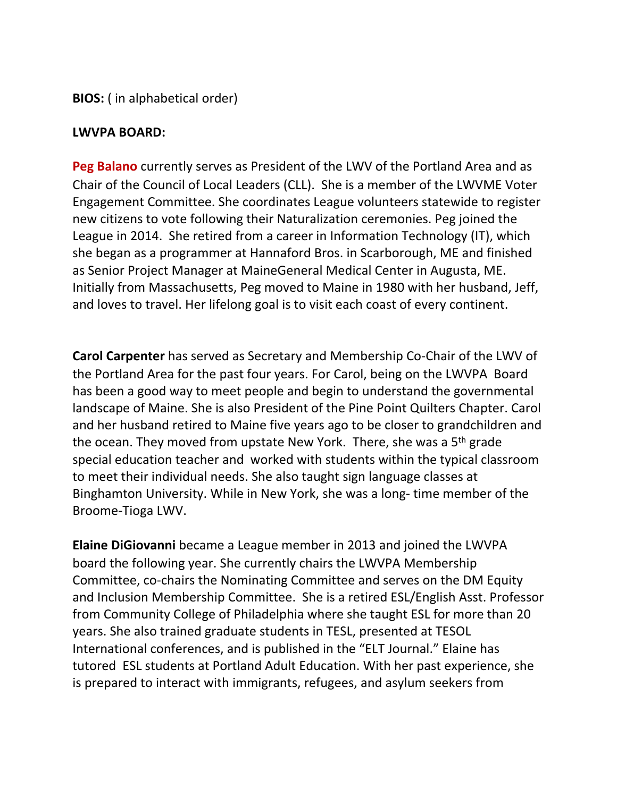**BIOS:** (in alphabetical order)

#### LWVPA **BOARD:**

**Peg Balano** currently serves as President of the LWV of the Portland Area and as Chair of the Council of Local Leaders (CLL). She is a member of the LWVME Voter Engagement Committee. She coordinates League volunteers statewide to register new citizens to vote following their Naturalization ceremonies. Peg joined the League in 2014. She retired from a career in Information Technology (IT), which she began as a programmer at Hannaford Bros. in Scarborough, ME and finished as Senior Project Manager at MaineGeneral Medical Center in Augusta, ME. Initially from Massachusetts, Peg moved to Maine in 1980 with her husband, Jeff, and loves to travel. Her lifelong goal is to visit each coast of every continent.

**Carol Carpenter** has served as Secretary and Membership Co-Chair of the LWV of the Portland Area for the past four years. For Carol, being on the LWVPA Board has been a good way to meet people and begin to understand the governmental landscape of Maine. She is also President of the Pine Point Quilters Chapter. Carol and her husband retired to Maine five years ago to be closer to grandchildren and the ocean. They moved from upstate New York. There, she was a  $5<sup>th</sup>$  grade special education teacher and worked with students within the typical classroom to meet their individual needs. She also taught sign language classes at Binghamton University. While in New York, she was a long- time member of the Broome-Tioga LWV.

**Elaine DiGiovanni** became a League member in 2013 and joined the LWVPA board the following year. She currently chairs the LWVPA Membership Committee, co-chairs the Nominating Committee and serves on the DM Equity and Inclusion Membership Committee. She is a retired ESL/English Asst. Professor from Community College of Philadelphia where she taught ESL for more than 20 years. She also trained graduate students in TESL, presented at TESOL International conferences, and is published in the "ELT Journal." Elaine has tutored ESL students at Portland Adult Education. With her past experience, she is prepared to interact with immigrants, refugees, and asylum seekers from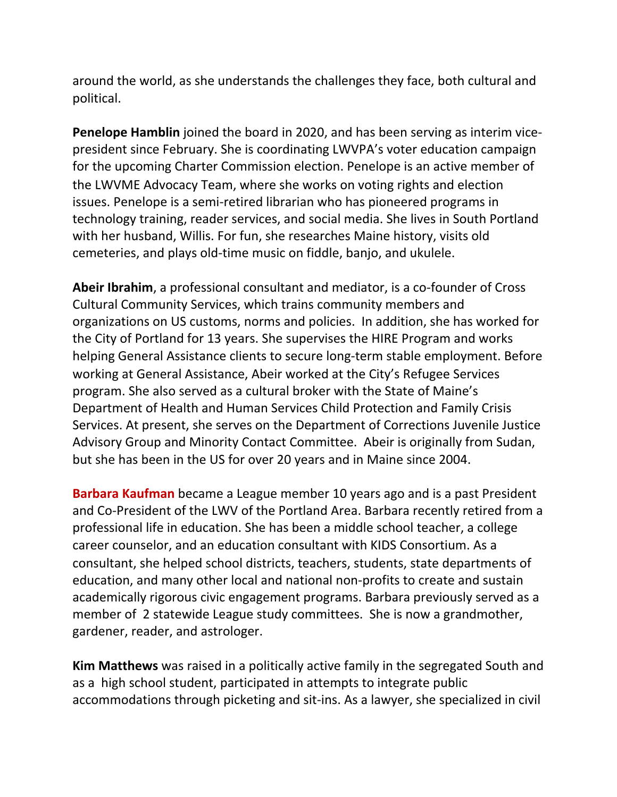around the world, as she understands the challenges they face, both cultural and political. 

**Penelope Hamblin** joined the board in 2020, and has been serving as interim vicepresident since February. She is coordinating LWVPA's voter education campaign for the upcoming Charter Commission election. Penelope is an active member of the LWVME Advocacy Team, where she works on voting rights and election issues. Penelope is a semi-retired librarian who has pioneered programs in technology training, reader services, and social media. She lives in South Portland with her husband, Willis. For fun, she researches Maine history, visits old cemeteries, and plays old-time music on fiddle, banjo, and ukulele.

**Abeir Ibrahim**, a professional consultant and mediator, is a co-founder of Cross Cultural Community Services, which trains community members and organizations on US customs, norms and policies. In addition, she has worked for the City of Portland for 13 years. She supervises the HIRE Program and works helping General Assistance clients to secure long-term stable employment. Before working at General Assistance, Abeir worked at the City's Refugee Services program. She also served as a cultural broker with the State of Maine's Department of Health and Human Services Child Protection and Family Crisis Services. At present, she serves on the Department of Corrections Juvenile Justice Advisory Group and Minority Contact Committee. Abeir is originally from Sudan, but she has been in the US for over 20 years and in Maine since 2004.

**Barbara Kaufman** became a League member 10 years ago and is a past President and Co-President of the LWV of the Portland Area. Barbara recently retired from a professional life in education. She has been a middle school teacher, a college career counselor, and an education consultant with KIDS Consortium. As a consultant, she helped school districts, teachers, students, state departments of education, and many other local and national non-profits to create and sustain academically rigorous civic engagement programs. Barbara previously served as a member of 2 statewide League study committees. She is now a grandmother, gardener, reader, and astrologer.

**Kim Matthews** was raised in a politically active family in the segregated South and as a high school student, participated in attempts to integrate public accommodations through picketing and sit-ins. As a lawyer, she specialized in civil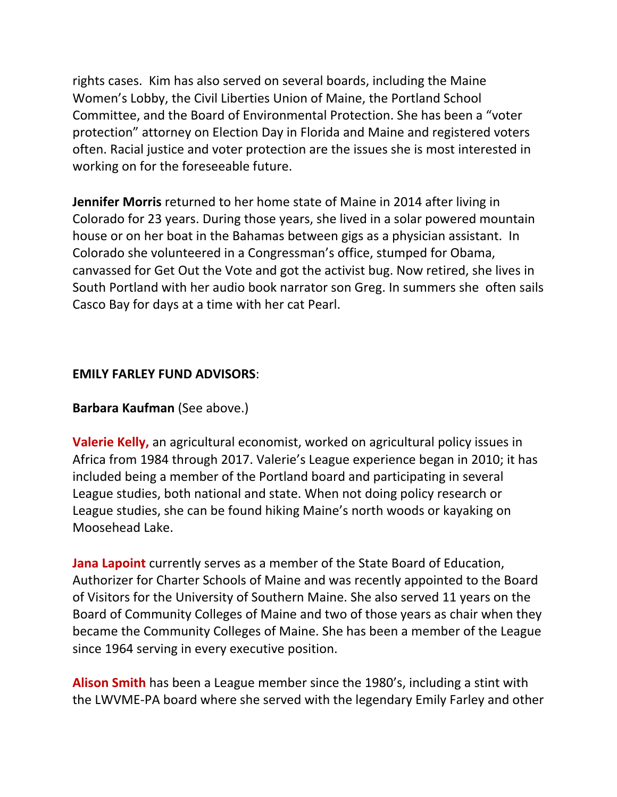rights cases. Kim has also served on several boards, including the Maine Women's Lobby, the Civil Liberties Union of Maine, the Portland School Committee, and the Board of Environmental Protection. She has been a "voter protection" attorney on Election Day in Florida and Maine and registered voters often. Racial justice and voter protection are the issues she is most interested in working on for the foreseeable future.

**Jennifer Morris** returned to her home state of Maine in 2014 after living in Colorado for 23 years. During those years, she lived in a solar powered mountain house or on her boat in the Bahamas between gigs as a physician assistant. In Colorado she volunteered in a Congressman's office, stumped for Obama, canvassed for Get Out the Vote and got the activist bug. Now retired, she lives in South Portland with her audio book narrator son Greg. In summers she often sails Casco Bay for days at a time with her cat Pearl.

# **EMILY FARLEY FUND ADVISORS**:

## **Barbara Kaufman** (See above.)

**Valerie Kelly,** an agricultural economist, worked on agricultural policy issues in Africa from 1984 through 2017. Valerie's League experience began in 2010; it has included being a member of the Portland board and participating in several League studies, both national and state. When not doing policy research or League studies, she can be found hiking Maine's north woods or kayaking on Moosehead Lake.

**Jana Lapoint** currently serves as a member of the State Board of Education, Authorizer for Charter Schools of Maine and was recently appointed to the Board of Visitors for the University of Southern Maine. She also served 11 years on the Board of Community Colleges of Maine and two of those years as chair when they became the Community Colleges of Maine. She has been a member of the League since 1964 serving in every executive position.

**Alison Smith** has been a League member since the 1980's, including a stint with the LWVME-PA board where she served with the legendary Emily Farley and other